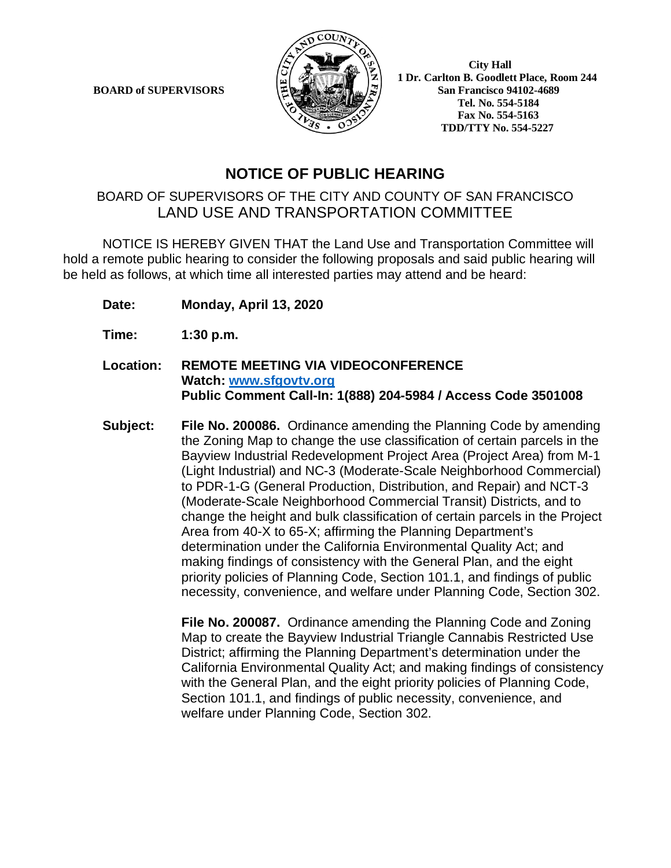**BOARD of SUPERVISORS** 



 **1 Dr. Carlton B. Goodlett Place, Room 244 Tel. No. 554-5184 Fax No. 554-5163 TDD/TTY No. 554-5227**

# **NOTICE OF PUBLIC HEARING**

## BOARD OF SUPERVISORS OF THE CITY AND COUNTY OF SAN FRANCISCO LAND USE AND TRANSPORTATION COMMITTEE

NOTICE IS HEREBY GIVEN THAT the Land Use and Transportation Committee will hold a remote public hearing to consider the following proposals and said public hearing will be held as follows, at which time all interested parties may attend and be heard:

- **Date: Monday, April 13, 2020**
- **Time: 1:30 p.m.**
- **Location: REMOTE MEETING VIA VIDEOCONFERENCE Watch: [www.sfgovtv.org](http://www.sfgovtv.org/) Public Comment Call-In: 1(888) 204-5984 / Access Code 3501008**
- **Subject: File No. 200086.** Ordinance amending the Planning Code by amending the Zoning Map to change the use classification of certain parcels in the Bayview Industrial Redevelopment Project Area (Project Area) from M-1 (Light Industrial) and NC-3 (Moderate-Scale Neighborhood Commercial) to PDR-1-G (General Production, Distribution, and Repair) and NCT-3 (Moderate-Scale Neighborhood Commercial Transit) Districts, and to change the height and bulk classification of certain parcels in the Project Area from 40-X to 65-X; affirming the Planning Department's determination under the California Environmental Quality Act; and making findings of consistency with the General Plan, and the eight priority policies of Planning Code, Section 101.1, and findings of public necessity, convenience, and welfare under Planning Code, Section 302.

**File No. 200087.** Ordinance amending the Planning Code and Zoning Map to create the Bayview Industrial Triangle Cannabis Restricted Use District; affirming the Planning Department's determination under the California Environmental Quality Act; and making findings of consistency with the General Plan, and the eight priority policies of Planning Code, Section 101.1, and findings of public necessity, convenience, and welfare under Planning Code, Section 302.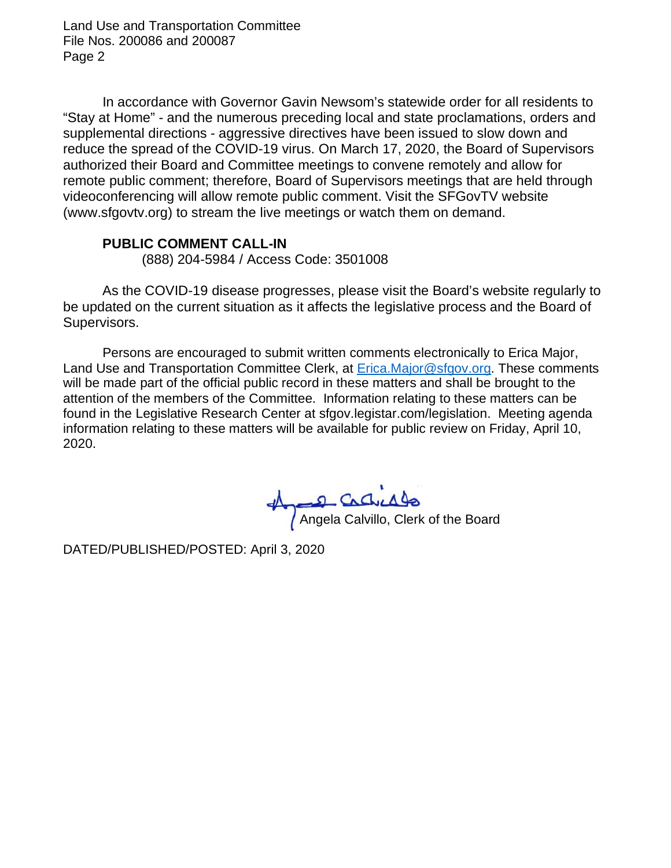Land Use and Transportation Committee File Nos. 200086 and 200087 Page 2

In accordance with Governor Gavin Newsom's statewide order for all residents to "Stay at Home" - and the numerous preceding local and state proclamations, orders and supplemental directions - aggressive directives have been issued to slow down and reduce the spread of the COVID-19 virus. On March 17, 2020, the Board of Supervisors authorized their Board and Committee meetings to convene remotely and allow for remote public comment; therefore, Board of Supervisors meetings that are held through videoconferencing will allow remote public comment. Visit the SFGovTV website (www.sfgovtv.org) to stream the live meetings or watch them on demand.

### **PUBLIC COMMENT CALL-IN**

(888) 204-5984 / Access Code: 3501008

As the COVID-19 disease progresses, please visit the Board's website regularly to be updated on the current situation as it affects the legislative process and the Board of Supervisors.

Persons are encouraged to submit written comments electronically to Erica Major, Land Use and Transportation Committee Clerk, at [Erica.Major@sfgov.org.](mailto:Erica.Major@sfgov.org) These comments will be made part of the official public record in these matters and shall be brought to the attention of the members of the Committee. Information relating to these matters can be found in the Legislative Research Center at sfgov.legistar.com/legislation. Meeting agenda information relating to these matters will be available for public review on Friday, April 10, 2020.

Angela Calvillo, Clerk of the Board

DATED/PUBLISHED/POSTED: April 3, 2020